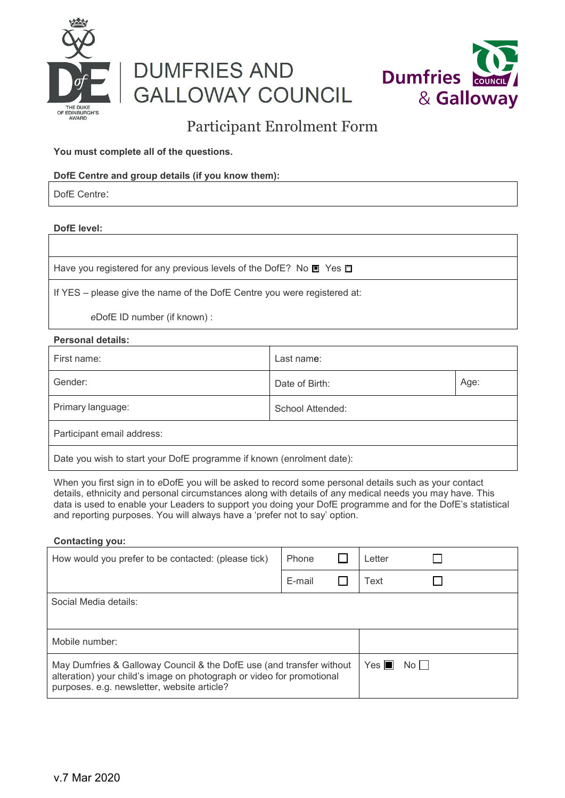

# **DUMFRIES AND GALLOWAY COUNCIL**



# Participant Enrolment Form

## **You must complete all of the questions.**

# **DofE Centre and group details (if you know them):**

DofE Centre:

## **DofE level:**

Have you registered for any previous levels of the DofE? No  $\blacksquare$  Yes

If YES – please give the name of the DofE Centre you were registered at:

*e*DofE ID number (if known) :

## **Personal details:**

| First name:                                                           | Last name:       |      |  |  |
|-----------------------------------------------------------------------|------------------|------|--|--|
| Gender:                                                               | Date of Birth:   | Age: |  |  |
| Primary language:                                                     | School Attended: |      |  |  |
| Participant email address:                                            |                  |      |  |  |
| Date you wish to start your DofE programme if known (enrolment date): |                  |      |  |  |

When you first sign in to *e*DofE you will be asked to record some personal details such as your contact details, ethnicity and personal circumstances along with details of any medical needs you may have. This data is used to enable your Leaders to support you doing your DofE programme and for the DofE's statistical and reporting purposes. You will always have a 'prefer not to say' option.

#### **Contacting you:**

| How would you prefer to be contacted: (please tick)                                                                                                                                          | Phone  |  | Letter             |                      |  |  |
|----------------------------------------------------------------------------------------------------------------------------------------------------------------------------------------------|--------|--|--------------------|----------------------|--|--|
|                                                                                                                                                                                              | E-mail |  | Text               |                      |  |  |
| Social Media details:                                                                                                                                                                        |        |  |                    |                      |  |  |
|                                                                                                                                                                                              |        |  |                    |                      |  |  |
| Mobile number:                                                                                                                                                                               |        |  |                    |                      |  |  |
| May Dumfries & Galloway Council & the DofE use (and transfer without<br>alteration) your child's image on photograph or video for promotional<br>purposes. e.g. newsletter, website article? |        |  | $Yes \blacksquare$ | $No$ $\vert \ \vert$ |  |  |